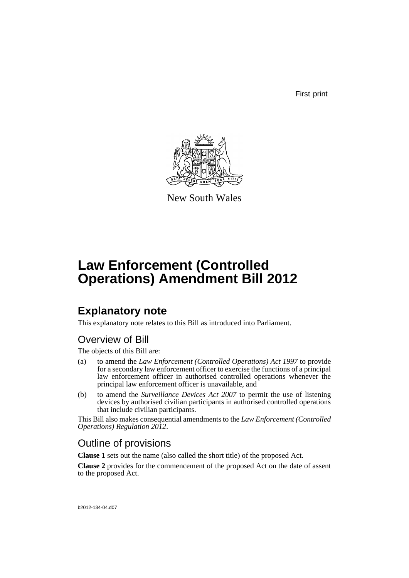First print



New South Wales

# **Law Enforcement (Controlled Operations) Amendment Bill 2012**

## **Explanatory note**

This explanatory note relates to this Bill as introduced into Parliament.

## Overview of Bill

The objects of this Bill are:

- (a) to amend the *Law Enforcement (Controlled Operations) Act 1997* to provide for a secondary law enforcement officer to exercise the functions of a principal law enforcement officer in authorised controlled operations whenever the principal law enforcement officer is unavailable, and
- (b) to amend the *Surveillance Devices Act 2007* to permit the use of listening devices by authorised civilian participants in authorised controlled operations that include civilian participants.

This Bill also makes consequential amendments to the *Law Enforcement (Controlled Operations) Regulation 2012*.

## Outline of provisions

**Clause 1** sets out the name (also called the short title) of the proposed Act.

**Clause 2** provides for the commencement of the proposed Act on the date of assent to the proposed Act.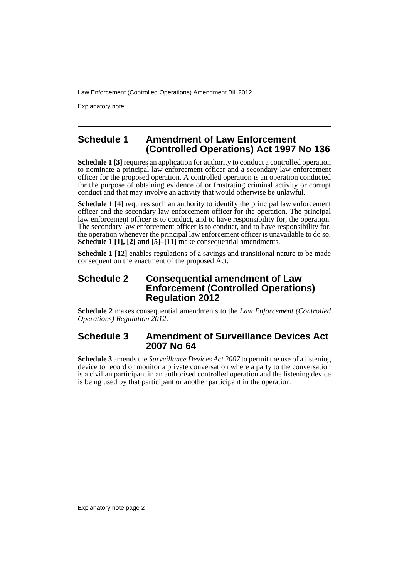Explanatory note

## **Schedule 1 Amendment of Law Enforcement (Controlled Operations) Act 1997 No 136**

**Schedule 1 [3]** requires an application for authority to conduct a controlled operation to nominate a principal law enforcement officer and a secondary law enforcement officer for the proposed operation. A controlled operation is an operation conducted for the purpose of obtaining evidence of or frustrating criminal activity or corrupt conduct and that may involve an activity that would otherwise be unlawful.

**Schedule 1 [4]** requires such an authority to identify the principal law enforcement officer and the secondary law enforcement officer for the operation. The principal law enforcement officer is to conduct, and to have responsibility for, the operation. The secondary law enforcement officer is to conduct, and to have responsibility for, the operation whenever the principal law enforcement officer is unavailable to do so. **Schedule 1 [1], [2] and [5]–[11]** make consequential amendments.

**Schedule 1 [12]** enables regulations of a savings and transitional nature to be made consequent on the enactment of the proposed Act.

#### **Schedule 2 Consequential amendment of Law Enforcement (Controlled Operations) Regulation 2012**

**Schedule 2** makes consequential amendments to the *Law Enforcement (Controlled Operations) Regulation 2012*.

## **Schedule 3 Amendment of Surveillance Devices Act 2007 No 64**

**Schedule 3** amends the *Surveillance Devices Act 2007* to permit the use of a listening device to record or monitor a private conversation where a party to the conversation is a civilian participant in an authorised controlled operation and the listening device is being used by that participant or another participant in the operation.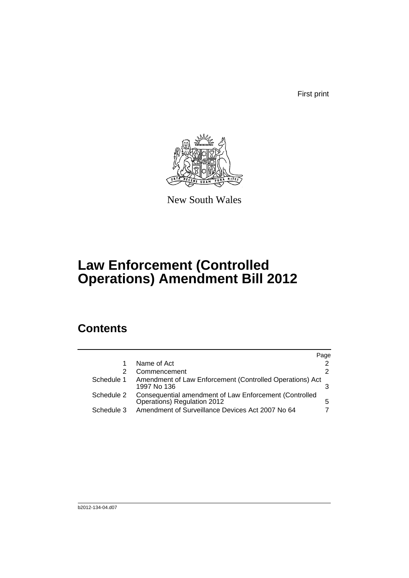First print



New South Wales

# **Law Enforcement (Controlled Operations) Amendment Bill 2012**

## **Contents**

|            |                                                                                       | Page |
|------------|---------------------------------------------------------------------------------------|------|
| 1          | Name of Act                                                                           |      |
| 2          | Commencement                                                                          | 2    |
| Schedule 1 | Amendment of Law Enforcement (Controlled Operations) Act<br>1997 No 136               |      |
| Schedule 2 | Consequential amendment of Law Enforcement (Controlled<br>Operations) Regulation 2012 | 5    |
| Schedule 3 | Amendment of Surveillance Devices Act 2007 No 64                                      |      |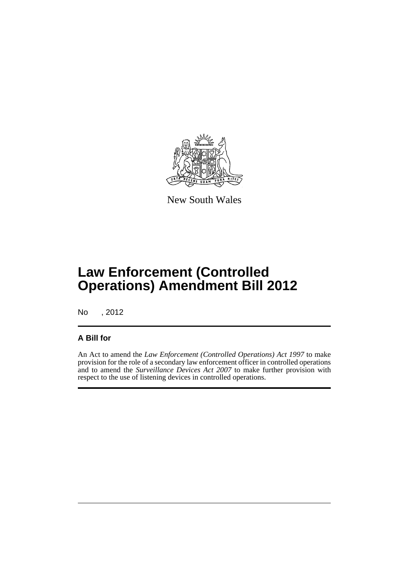

New South Wales

# **Law Enforcement (Controlled Operations) Amendment Bill 2012**

No , 2012

## **A Bill for**

An Act to amend the *Law Enforcement (Controlled Operations) Act 1997* to make provision for the role of a secondary law enforcement officer in controlled operations and to amend the *Surveillance Devices Act 2007* to make further provision with respect to the use of listening devices in controlled operations.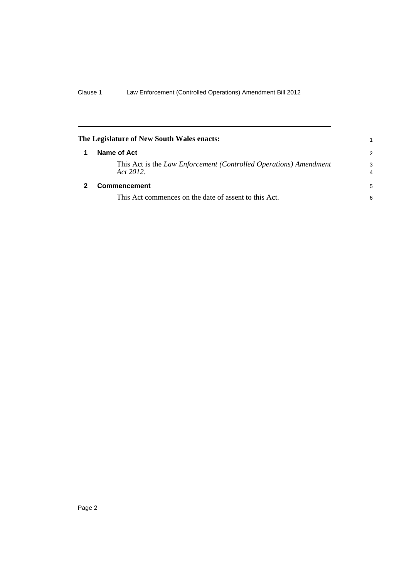<span id="page-5-1"></span><span id="page-5-0"></span>

| The Legislature of New South Wales enacts:                                     | 1             |
|--------------------------------------------------------------------------------|---------------|
| Name of Act                                                                    | $\mathcal{P}$ |
| This Act is the Law Enforcement (Controlled Operations) Amendment<br>Act 2012. | 3<br>4        |
| <b>Commencement</b>                                                            | 5             |
| This Act commences on the date of assent to this Act.                          | 6             |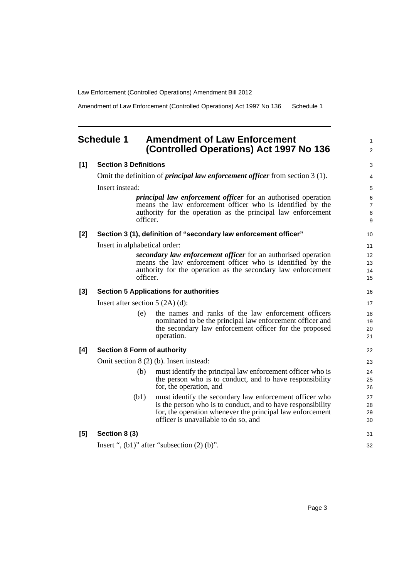Amendment of Law Enforcement (Controlled Operations) Act 1997 No 136 Schedule 1

#### <span id="page-6-0"></span>**Schedule 1 Amendment of Law Enforcement (Controlled Operations) Act 1997 No 136**

1

#### **[1] Section 3 Definitions** Omit the definition of *principal law enforcement officer* from section 3 (1). Insert instead: *principal law enforcement officer* for an authorised operation means the law enforcement officer who is identified by the authority for the operation as the principal law enforcement officer. **[2] Section 3 (1), definition of "secondary law enforcement officer"** Insert in alphabetical order: *secondary law enforcement officer* for an authorised operation means the law enforcement officer who is identified by the authority for the operation as the secondary law enforcement officer. **[3] Section 5 Applications for authorities** Insert after section 5 (2A) (d): (e) the names and ranks of the law enforcement officers nominated to be the principal law enforcement officer and the secondary law enforcement officer for the proposed operation. **[4] Section 8 Form of authority** Omit section 8 (2) (b). Insert instead: (b) must identify the principal law enforcement officer who is the person who is to conduct, and to have responsibility for, the operation, and (b1) must identify the secondary law enforcement officer who is the person who is to conduct, and to have responsibility for, the operation whenever the principal law enforcement officer is unavailable to do so, and **[5] Section 8 (3)** Insert ",  $(b1)$ " after "subsection  $(2)$   $(b)$ ". 27 28 29 30 31 32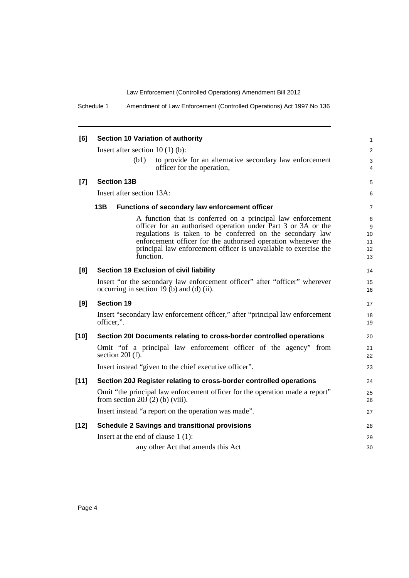Schedule 1 Amendment of Law Enforcement (Controlled Operations) Act 1997 No 136

| [6]    | Section 10 Variation of authority                                                                                                                                                                                                                                                                                                           | $\mathbf{1}$                   |
|--------|---------------------------------------------------------------------------------------------------------------------------------------------------------------------------------------------------------------------------------------------------------------------------------------------------------------------------------------------|--------------------------------|
|        | Insert after section $10(1)(b)$ :                                                                                                                                                                                                                                                                                                           | 2                              |
|        | (b1)<br>to provide for an alternative secondary law enforcement<br>officer for the operation,                                                                                                                                                                                                                                               | 3<br>4                         |
| $[7]$  | <b>Section 13B</b>                                                                                                                                                                                                                                                                                                                          | 5                              |
|        | Insert after section 13A:                                                                                                                                                                                                                                                                                                                   | 6                              |
|        | 13B<br><b>Functions of secondary law enforcement officer</b>                                                                                                                                                                                                                                                                                |                                |
|        | A function that is conferred on a principal law enforcement<br>officer for an authorised operation under Part 3 or 3A or the<br>regulations is taken to be conferred on the secondary law<br>enforcement officer for the authorised operation whenever the<br>principal law enforcement officer is unavailable to exercise the<br>function. | 8<br>9<br>10<br>11<br>12<br>13 |
| [8]    | Section 19 Exclusion of civil liability                                                                                                                                                                                                                                                                                                     | 14                             |
|        | Insert "or the secondary law enforcement officer" after "officer" wherever<br>occurring in section 19 (b) and (d) (ii).                                                                                                                                                                                                                     |                                |
| [9]    | <b>Section 19</b>                                                                                                                                                                                                                                                                                                                           | 17                             |
|        | Insert "secondary law enforcement officer," after "principal law enforcement<br>officer,".                                                                                                                                                                                                                                                  |                                |
| $[10]$ | Section 20I Documents relating to cross-border controlled operations                                                                                                                                                                                                                                                                        | 20                             |
|        | Omit "of a principal law enforcement officer of the agency" from<br>section $20I(f)$ .                                                                                                                                                                                                                                                      | 21<br>22                       |
|        | Insert instead "given to the chief executive officer".                                                                                                                                                                                                                                                                                      | 23                             |
| $[11]$ | Section 20J Register relating to cross-border controlled operations                                                                                                                                                                                                                                                                         | 24                             |
|        | Omit "the principal law enforcement officer for the operation made a report"<br>from section 20J $(2)$ (b) (viii).                                                                                                                                                                                                                          | 25<br>26                       |
|        | Insert instead "a report on the operation was made".                                                                                                                                                                                                                                                                                        | 27                             |
| $[12]$ | <b>Schedule 2 Savings and transitional provisions</b>                                                                                                                                                                                                                                                                                       | 28                             |
|        | Insert at the end of clause $1(1)$ :                                                                                                                                                                                                                                                                                                        | 29                             |
|        | any other Act that amends this Act                                                                                                                                                                                                                                                                                                          | 30                             |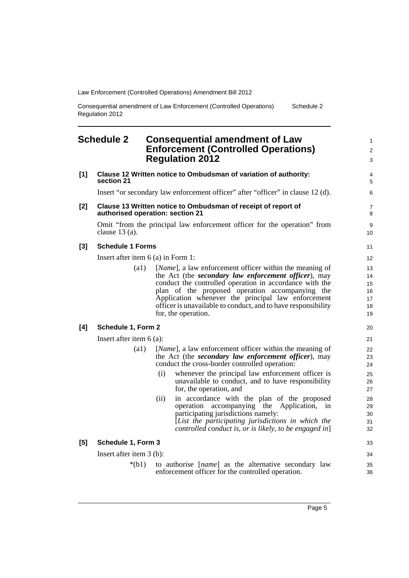Consequential amendment of Law Enforcement (Controlled Operations) Regulation 2012 Schedule 2

### <span id="page-8-0"></span>**Schedule 2 Consequential amendment of Law Enforcement (Controlled Operations) Regulation 2012**

| [1] | section 21                           | Clause 12 Written notice to Ombudsman of variation of authority:                                                                                                                                                                                                                                                                                                            |
|-----|--------------------------------------|-----------------------------------------------------------------------------------------------------------------------------------------------------------------------------------------------------------------------------------------------------------------------------------------------------------------------------------------------------------------------------|
|     |                                      | Insert "or secondary law enforcement officer" after "officer" in clause 12 (d).                                                                                                                                                                                                                                                                                             |
| [2] | authorised operation: section 21     | Clause 13 Written notice to Ombudsman of receipt of report of                                                                                                                                                                                                                                                                                                               |
|     | clause $13(a)$ .                     | Omit "from the principal law enforcement officer for the operation" from                                                                                                                                                                                                                                                                                                    |
| [3] | <b>Schedule 1 Forms</b>              |                                                                                                                                                                                                                                                                                                                                                                             |
|     | Insert after item $6$ (a) in Form 1: |                                                                                                                                                                                                                                                                                                                                                                             |
|     | (a1)                                 | [Name], a law enforcement officer within the meaning of<br>the Act (the secondary law enforcement officer), may<br>conduct the controlled operation in accordance with the<br>plan of the proposed operation accompanying the<br>Application whenever the principal law enforcement<br>officer is unavailable to conduct, and to have responsibility<br>for, the operation. |
| [4] | Schedule 1, Form 2                   |                                                                                                                                                                                                                                                                                                                                                                             |
|     | Insert after item $6(a)$ :           |                                                                                                                                                                                                                                                                                                                                                                             |
|     | (a1)                                 | [Name], a law enforcement officer within the meaning of<br>the Act (the <i>secondary law enforcement officer</i> ), may<br>conduct the cross-border controlled operation:                                                                                                                                                                                                   |
|     |                                      | (i)<br>whenever the principal law enforcement officer is<br>unavailable to conduct, and to have responsibility<br>for, the operation, and                                                                                                                                                                                                                                   |
|     |                                      | in accordance with the plan of the proposed<br>(ii)<br>operation<br>accompanying the Application,<br>in<br>participating jurisdictions namely:<br>[List the participating jurisdictions in which the<br>controlled conduct is, or is likely, to be engaged in                                                                                                               |
| [5] | Schedule 1, Form 3                   |                                                                                                                                                                                                                                                                                                                                                                             |
|     |                                      |                                                                                                                                                                                                                                                                                                                                                                             |
|     | Insert after item $3$ (b):           |                                                                                                                                                                                                                                                                                                                                                                             |

1 2 3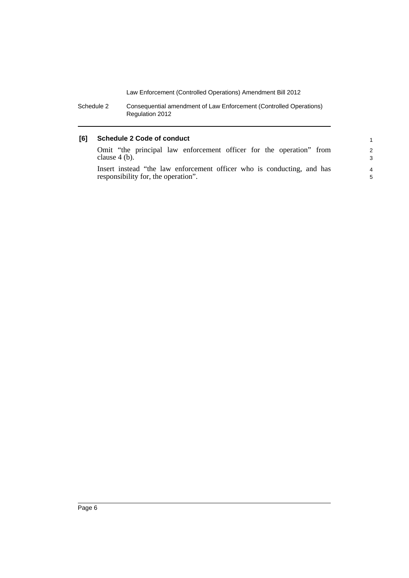Schedule 2 Consequential amendment of Law Enforcement (Controlled Operations) Regulation 2012

#### **[6] Schedule 2 Code of conduct**

| Omit "the principal law enforcement officer for the operation" from    | $\mathcal{P}$ |
|------------------------------------------------------------------------|---------------|
| clause $4$ (b).                                                        | 3             |
| Insert instead "the law enforcement officer who is conducting, and has | 4             |
| responsibility for, the operation".                                    | 5             |

1